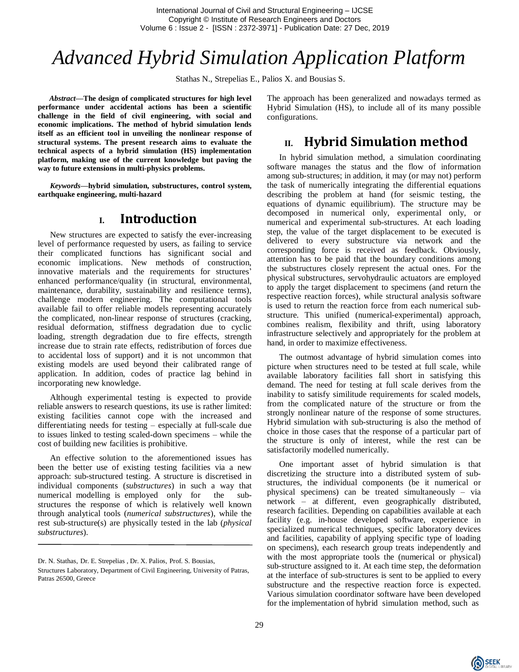International Journal of Civil and Structural Engineering – IJCSE Copyright © Institute of Research Engineers and Doctors Volume 6 : Issue 2 - [ISSN : 2372-3971] - Publication Date: 27 Dec, 2019

# *Advanced Hybrid Simulation Application Platform*

Stathas N., Strepelias E., Palios X. and Bousias S.

*Abstract***—The design of complicated structures for high level performance under accidental actions has been a scientific challenge in the field of civil engineering, with social and economic implications. The method of hybrid simulation lends itself as an efficient tool in unveiling the nonlinear response of structural systems. The present research aims to evaluate the technical aspects of a hybrid simulation (HS) implementation platform, making use of the current knowledge but paving the way to future extensions in multi-physics problems.**

*Keywords—***hybrid simulation, substructures, control system, earthquake engineering, multi-hazard**

#### **I. Introduction**

New structures are expected to satisfy the ever-increasing level of performance requested by users, as failing to service their complicated functions has significant social and economic implications. New methods of construction, innovative materials and the requirements for structures' enhanced performance/quality (in structural, environmental, maintenance, durability, sustainability and resilience terms), challenge modern engineering. The computational tools available fail to offer reliable models representing accurately the complicated, non-linear response of structures (cracking, residual deformation, stiffness degradation due to cyclic loading, strength degradation due to fire effects, strength increase due to strain rate effects, redistribution of forces due to accidental loss of support) and it is not uncommon that existing models are used beyond their calibrated range of application. In addition, codes of practice lag behind in incorporating new knowledge.

Although experimental testing is expected to provide reliable answers to research questions, its use is rather limited: existing facilities cannot cope with the increased and differentiating needs for testing – especially at full-scale due to issues linked to testing scaled-down specimens – while the cost of building new facilities is prohibitive.

An effective solution to the aforementioned issues has been the better use of existing testing facilities via a new approach: sub-structured testing. A structure is discretised in individual components (*substructures*) in such a way that numerical modelling is employed only for the substructures the response of which is relatively well known through analytical tools (*numerical substructures*), while the rest sub-structure(s) are physically tested in the lab (*physical substructures*).

The approach has been generalized and nowadays termed as Hybrid Simulation (HS), to include all of its many possible configurations.

## **II. Hybrid Simulation method**

In hybrid simulation method, a simulation coordinating software manages the status and the flow of information among sub-structures; in addition, it may (or may not) perform the task of numerically integrating the differential equations describing the problem at hand (for seismic testing, the equations of dynamic equilibrium). The structure may be decomposed in numerical only, experimental only, or numerical and experimental sub-structures. At each loading step, the value of the target displacement to be executed is delivered to every substructure via network and the corresponding force is received as feedback. Obviously, attention has to be paid that the boundary conditions among the substructures closely represent the actual ones. For the physical substructures, servohydraulic actuators are employed to apply the target displacement to specimens (and return the respective reaction forces), while structural analysis software is used to return the reaction force from each numerical substructure. This unified (numerical-experimental) approach, combines realism, flexibility and thrift, using laboratory infrastructure selectively and appropriately for the problem at hand, in order to maximize effectiveness.

The outmost advantage of hybrid simulation comes into picture when structures need to be tested at full scale, while available laboratory facilities fall short in satisfying this demand. The need for testing at full scale derives from the inability to satisfy similitude requirements for scaled models, from the complicated nature of the structure or from the strongly nonlinear nature of the response of some structures. Hybrid simulation with sub-structuring is also the method of choice in those cases that the response of a particular part of the structure is only of interest, while the rest can be satisfactorily modelled numerically.

One important asset of hybrid simulation is that discretizing the structure into a distributed system of substructures, the individual components (be it numerical or physical specimens) can be treated simultaneously – via network – at different, even geographically distributed, research facilities. Depending on capabilities available at each facility (e.g. in-house developed software, experience in specialized numerical techniques, specific laboratory devices and facilities, capability of applying specific type of loading on specimens), each research group treats independently and with the most appropriate tools the (numerical or physical) sub-structure assigned to it. At each time step, the deformation at the interface of sub-structures is sent to be applied to every substructure and the respective reaction force is expected. Various simulation coordinator software have been developed for the implementation of hybrid simulation method, such as



Dr. N. Stathas, Dr. E. Strepelias , Dr. X. Palios, Prof. S. Bousias,

Structures Laboratory, Department of Civil Engineering, University of Patras, Patras 26500, Greece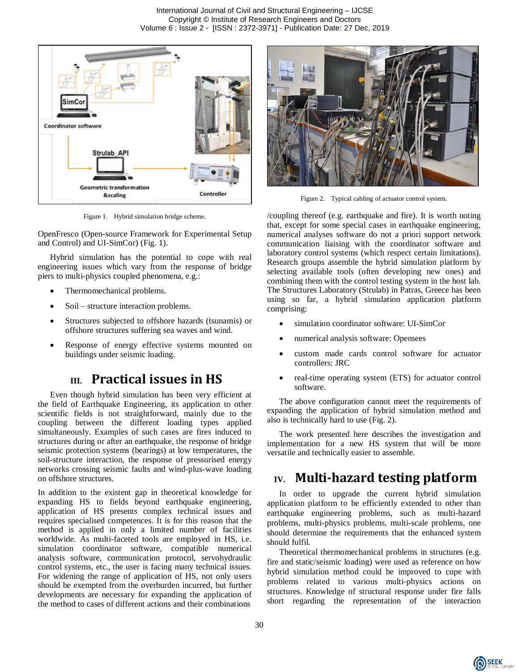

Figure 1. Hybrid simulation bridge scheme.

OpenFresco (Open-source Framework for Experimental Setup and Control) and UI-SimCor) (Fig. 1).

Hybrid simulation has the potential to cope with real engineering issues which vary from the response of bridge piers to multi-physics coupled phenomena, e.g.:

- Thermomechanical problems.
- Soil structure interaction problems.
- Structures subjected to offshore hazards (tsunamis) or offshore structures suffering sea waves and wind.
- Response of energy effective systems mounted on buildings under seismic loading.

## **III. Practical issues in HS**

Even though hybrid simulation has been very efficient at the field of Earthquake Engineering, its application to other scientific fields is not straightforward, mainly due to the coupling between the different loading types applied simultaneously. Examples of such cases are fires induced to structures during or after an earthquake, the response of bridge seismic protection systems (bearings) at low temperatures, the soil-structure interaction, the response of pressurised energy networks crossing seismic faults and wind-plus-wave loading on offshore structures.

In addition to the existent gap in theoretical knowledge for expanding HS to fields beyond earthquake engineering, application of HS presents complex technical issues and requires specialised competences. It is for this reason that the method is applied in only a limited number of facilities worldwide. As multi-faceted tools are employed in HS, i.e. simulation coordinator software, compatible numerical analysis software, communication protocol, servohydraulic control systems, etc., the user is facing many technical issues. For widening the range of application of HS, not only users should be exempted from the overburden incurred, but further developments are necessary for expanding the application of the method to cases of different actions and their combinations



Figure 2. Typical cabling of actuator control system.

/coupling thereof (e.g. earthquake and fire). It is worth noting that, except for some special cases in earthquake engineering, numerical analyses software do not a priori support network communication liaising with the coordinator software and laboratory control systems (which respect certain limitations). Research groups assemble the hybrid simulation platform by selecting available tools (often developing new ones) and combining them with the control testing system in the host lab. The Structures Laboratory (Strulab) in Patras, Greece has been using so far, a hybrid simulation application platform comprising:

- simulation coordinator software: UI-SimCor
- numerical analysis software: Opensees
- custom made cards control software for actuator controllers: JRC
- real-time operating system (ETS) for actuator control software.

The above configuration cannot meet the requirements of expanding the application of hybrid simulation method and also is technically hard to use (Fig. 2).

The work presented here describes the investigation and implementation for a new HS system that will be more versatile and technically easier to assemble.

#### **IV. Multi-hazard testing platform**

In order to upgrade the current hybrid simulation application platform to be efficiently extended to other than earthquake engineering problems, such as multi-hazard problems, multi-physics problems, multi-scale problems, one should determine the requirements that the enhanced system should fulfil.

Theoretical thermomechanical problems in structures (e.g. fire and static/seismic loading) were used as reference on how hybrid simulation method could be improved to cope with problems related to various multi-physics actions on structures. Knowledge of structural response under fire falls short regarding the representation of the interaction

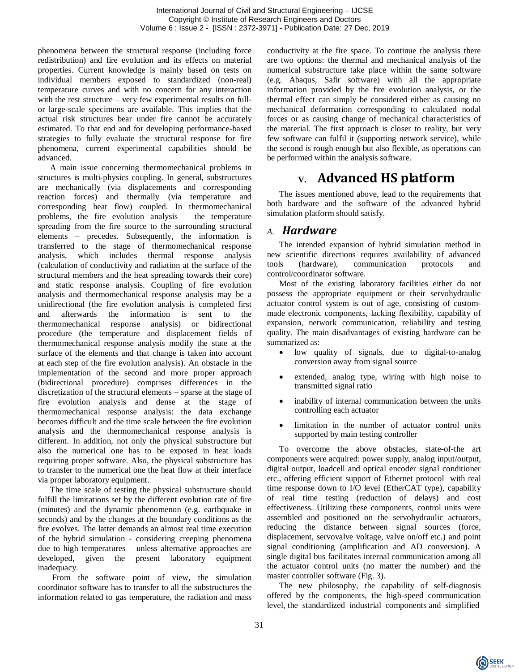phenomena between the structural response (including force redistribution) and fire evolution and its effects on material properties. Current knowledge is mainly based on tests on individual members exposed to standardized (non-real) temperature curves and with no concern for any interaction with the rest structure – very few experimental results on fullor large-scale specimens are available. This implies that the actual risk structures bear under fire cannot be accurately estimated. To that end and for developing performance-based strategies to fully evaluate the structural response for fire phenomena, current experimental capabilities should be advanced.

A main issue concerning thermomechanical problems in structures is multi-physics coupling. In general, substructures are mechanically (via displacements and corresponding reaction forces) and thermally (via temperature and corresponding heat flow) coupled. In thermomechanical problems, the fire evolution analysis – the temperature spreading from the fire source to the surrounding structural elements – precedes. Subsequently, the information is transferred to the stage of thermomechanical response analysis, which includes thermal response analysis (calculation of conductivity and radiation at the surface of the structural members and the heat spreading towards their core) and static response analysis. Coupling of fire evolution analysis and thermomechanical response analysis may be a unidirectional (the fire evolution analysis is completed first and afterwards the information is sent to the thermomechanical response analysis) or bidirectional procedure (the temperature and displacement fields of thermomechanical response analysis modify the state at the surface of the elements and that change is taken into account at each step of the fire evolution analysis). An obstacle in the implementation of the second and more proper approach (bidirectional procedure) comprises differences in the discretization of the structural elements – sparse at the stage of fire evolution analysis and dense at the stage of thermomechanical response analysis: the data exchange becomes difficult and the time scale between the fire evolution analysis and the thermomechanical response analysis is different. In addition, not only the physical substructure but also the numerical one has to be exposed in heat loads requiring proper software. Also, the physical substructure has to transfer to the numerical one the heat flow at their interface via proper laboratory equipment.

The time scale of testing the physical substructure should fulfill the limitations set by the different evolution rate of fire (minutes) and the dynamic phenomenon (e.g. earthquake in seconds) and by the changes at the boundary conditions as the fire evolves. The latter demands an almost real time execution of the hybrid simulation - considering creeping phenomena due to high temperatures – unless alternative approaches are developed, given the present laboratory equipment inadequacy.

From the software point of view, the simulation coordinator software has to transfer to all the substructures the information related to gas temperature, the radiation and mass

conductivity at the fire space. To continue the analysis there are two options: the thermal and mechanical analysis of the numerical substructure take place within the same software (e.g. Abaqus, Safir software) with all the appropriate information provided by the fire evolution analysis, or the thermal effect can simply be considered either as causing no mechanical deformation corresponding to calculated nodal forces or as causing change of mechanical characteristics of the material. The first approach is closer to reality, but very few software can fulfil it (supporting network service), while the second is rough enough but also flexible, as operations can be performed within the analysis software.

# **V. Advanced HS platform**

The issues mentioned above, lead to the requirements that both hardware and the software of the advanced hybrid simulation platform should satisfy.

#### *A. Hardware*

The intended expansion of hybrid simulation method in new scientific directions requires availability of advanced tools (hardware), communication protocols and control/coordinator software.

Most of the existing laboratory facilities either do not possess the appropriate equipment or their servohydraulic actuator control system is out of age, consisting of custommade electronic components, lacking flexibility, capability of expansion, network communication, reliability and testing quality. The main disadvantages of existing hardware can be summarized as:

- low quality of signals, due to digital-to-analog conversion away from signal source
- extended, analog type, wiring with high noise to transmitted signal ratio
- inability of internal communication between the units controlling each actuator
- limitation in the number of actuator control units supported by main testing controller

To overcome the above obstacles, state-of-the art components were acquired: power supply, analog input/output, digital output, loadcell and optical encoder signal conditioner etc., offering efficient support of Ethernet protocol with real time response down to I/O level (EtherCAT type), capability of real time testing (reduction of delays) and cost effectiveness. Utilizing these components, control units were assembled and positioned on the servohydraulic actuators, reducing the distance between signal sources (force, displacement, servovalve voltage, valve on/off etc.) and point signal conditioning (amplification and AD conversion). A single digital bus facilitates internal communication among all the actuator control units (no matter the number) and the master controller software (Fig. 3).

The new philosophy, the capability of self-diagnosis offered by the components, the high-speed communication level, the standardized industrial components and simplified

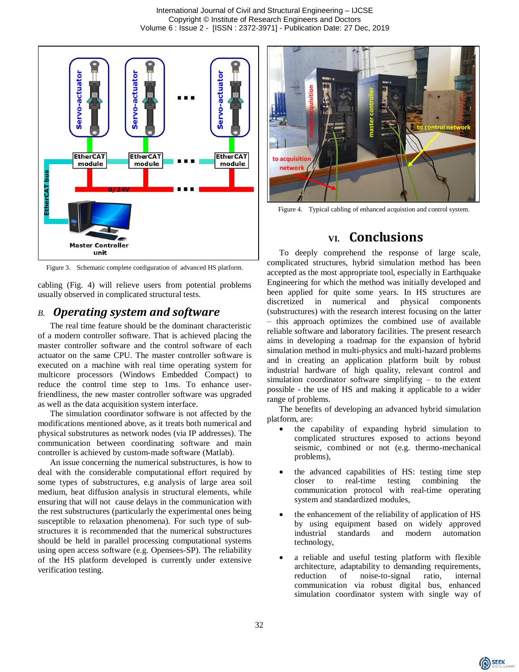

Figure 3. Schematic complete configuration of advanced HS platform.

cabling (Fig. 4) will relieve users from potential problems usually observed in complicated structural tests.

#### *B. Operating system and software*

The real time feature should be the dominant characteristic of a modern controller software. That is achieved placing the master controller software and the control software of each actuator on the same CPU. The master controller software is executed on a machine with real time operating system for multicore processors (Windows Embedded Compact) to reduce the control time step to 1ms. To enhance userfriendliness, the new master controller software was upgraded as well as the data acquisition system interface.

The simulation coordinator software is not affected by the modifications mentioned above, as it treats both numerical and physical substrutures as network nodes (via IP addresses). The communication between coordinating software and main controller is achieved by custom-made software (Matlab).

An issue concerning the numerical substructures, is how to deal with the considerable computational effort required by some types of substructures, e.g analysis of large area soil medium, heat diffusion analysis in structural elements, while ensuring that will not cause delays in the communication with the rest substructures (particularly the experimental ones being susceptible to relaxation phenomena). For such type of substructures it is recommended that the numerical substructures should be held in parallel processing computational systems using open access software (e.g. Opensees-SP). The reliability of the HS platform developed is currently under extensive verification testing.



Figure 4. Typical cabling of enhanced acquistion and control system.

# **VI. Conclusions**

To deeply comprehend the response of large scale, complicated structures, hybrid simulation method has been accepted as the most appropriate tool, especially in Earthquake Engineering for which the method was initially developed and been applied for quite some years. In HS structures are discretized in numerical and physical components (substructures) with the research interest focusing on the latter – this approach optimizes the combined use of available reliable software and laboratory facilities. The present research aims in developing a roadmap for the expansion of hybrid simulation method in multi-physics and multi-hazard problems and in creating an application platform built by robust industrial hardware of high quality, relevant control and simulation coordinator software simplifying – to the extent possible - the use of HS and making it applicable to a wider range of problems.

The benefits of developing an advanced hybrid simulation platform, are:

- the capability of expanding hybrid simulation to complicated structures exposed to actions beyond seismic, combined or not (e.g. thermo-mechanical problems),
- the advanced capabilities of HS: testing time step closer to real-time testing combining the communication protocol with real-time operating system and standardized modules,
- the enhancement of the reliability of application of HS by using equipment based on widely approved industrial standards and modern automation technology,
- a reliable and useful testing platform with flexible architecture, adaptability to demanding requirements, reduction of noise-to-signal ratio, internal communication via robust digital bus, enhanced simulation coordinator system with single way of